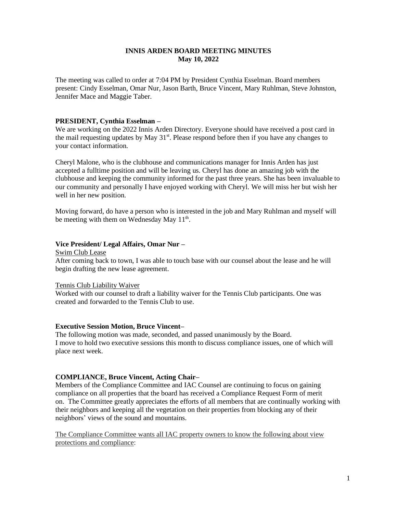### **INNIS ARDEN BOARD MEETING MINUTES May 10, 2022**

The meeting was called to order at 7:04 PM by President Cynthia Esselman. Board members present: Cindy Esselman, Omar Nur, Jason Barth, Bruce Vincent, Mary Ruhlman, Steve Johnston, Jennifer Mace and Maggie Taber.

### **PRESIDENT, Cynthia Esselman –**

We are working on the 2022 Innis Arden Directory. Everyone should have received a post card in the mail requesting updates by May 31<sup>st</sup>. Please respond before then if you have any changes to your contact information.

Cheryl Malone, who is the clubhouse and communications manager for Innis Arden has just accepted a fulltime position and will be leaving us. Cheryl has done an amazing job with the clubhouse and keeping the community informed for the past three years. She has been invaluable to our community and personally I have enjoyed working with Cheryl. We will miss her but wish her well in her new position.

Moving forward, do have a person who is interested in the job and Mary Ruhlman and myself will be meeting with them on Wednesday May 11<sup>th</sup>.

### **Vice President/ Legal Affairs, Omar Nur –**

Swim Club Lease

After coming back to town, I was able to touch base with our counsel about the lease and he will begin drafting the new lease agreement.

### Tennis Club Liability Waiver

Worked with our counsel to draft a liability waiver for the Tennis Club participants. One was created and forwarded to the Tennis Club to use.

### **Executive Session Motion, Bruce Vincent–**

The following motion was made, seconded, and passed unanimously by the Board. I move to hold two executive sessions this month to discuss compliance issues, one of which will place next week.

### **COMPLIANCE, Bruce Vincent, Acting Chair–**

Members of the Compliance Committee and IAC Counsel are continuing to focus on gaining compliance on all properties that the board has received a Compliance Request Form of merit on. The Committee greatly appreciates the efforts of all members that are continually working with their neighbors and keeping all the vegetation on their properties from blocking any of their neighbors' views of the sound and mountains.

The Compliance Committee wants all IAC property owners to know the following about view protections and compliance: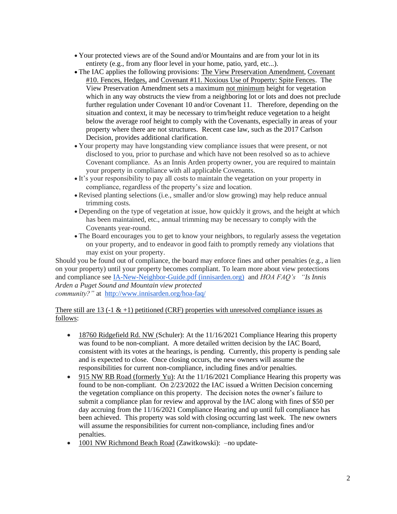- Your protected views are of the Sound and/or Mountains and are from your lot in its entirety (e.g., from any floor level in your home, patio, yard, etc...).
- The IAC applies the following provisions: The View Preservation Amendment, Covenant #10. Fences, Hedges, and Covenant #11. Noxious Use of Property: Spite Fences. The View Preservation Amendment sets a maximum not minimum height for vegetation which in any way obstructs the view from a neighboring lot or lots and does not preclude further regulation under Covenant 10 and/or Covenant 11. Therefore, depending on the situation and context, it may be necessary to trim/height reduce vegetation to a height below the average roof height to comply with the Covenants, especially in areas of your property where there are not structures. Recent case law, such as the 2017 Carlson Decision, provides additional clarification.
- Your property may have longstanding view compliance issues that were present, or not disclosed to you, prior to purchase and which have not been resolved so as to achieve Covenant compliance. As an Innis Arden property owner, you are required to maintain your property in compliance with all applicable Covenants.
- It's your responsibility to pay all costs to maintain the vegetation on your property in compliance, regardless of the property's size and location.
- Revised planting selections (i.e., smaller and/or slow growing) may help reduce annual trimming costs.
- Depending on the type of vegetation at issue, how quickly it grows, and the height at which has been maintained, etc., annual trimming may be necessary to comply with the Covenants year-round.
- The Board encourages you to get to know your neighbors, to regularly assess the vegetation on your property, and to endeavor in good faith to promptly remedy any violations that may exist on your property.

Should you be found out of compliance, the board may enforce fines and other penalties (e.g., a lien on your property) until your property becomes compliant. To learn more about view protections and compliance see [IA-New-Neighbor-Guide.pdf \(innisarden.org\)](https://urldefense.proofpoint.com/v2/url?u=http-3A__www.innisarden.org_wp-2Dcontent_uploads_2021_03_IA-2DNew-2DNeighbor-2DGuide.pdf&d=DwMFAg&c=euGZstcaTDllvimEN8b7jXrwqOf-v5A_CdpgnVfiiMM&r=P4XUHcgHyNDobyBjv3I-ug&m=DwQqi7kdr9dTmwm3zKsaH2k04vFzlIJQ5u7AS9d0UTU&s=_zHkkYRKknMHFdY8iwinbELLEKmVTQR0E2eKko-QA1o&e=) and *HOA FAQ's "Is Innis Arden a Puget Sound and Mountain view protected community?"* at <http://www.innisarden.org/hoa-faq/>

# There still are 13 (-1 & +1) petitioned (CRF) properties with unresolved compliance issues as follows:

- 18760 Ridgefield Rd. NW (Schuler): At the 11/16/2021 Compliance Hearing this property was found to be non-compliant. A more detailed written decision by the IAC Board, consistent with its votes at the hearings, is pending. Currently, this property is pending sale and is expected to close. Once closing occurs, the new owners will assume the responsibilities for current non-compliance, including fines and/or penalties.
- 915 NW RB Road (formerly Yu): At the 11/16/2021 Compliance Hearing this property was found to be non-compliant. On 2/23/2022 the IAC issued a Written Decision concerning the vegetation compliance on this property. The decision notes the owner's failure to submit a compliance plan for review and approval by the IAC along with fines of \$50 per day accruing from the 11/16/2021 Compliance Hearing and up until full compliance has been achieved. This property was sold with closing occurring last week. The new owners will assume the responsibilities for current non-compliance, including fines and/or penalties.
- 1001 NW Richmond Beach Road (Zawitkowski):  $-$ no update-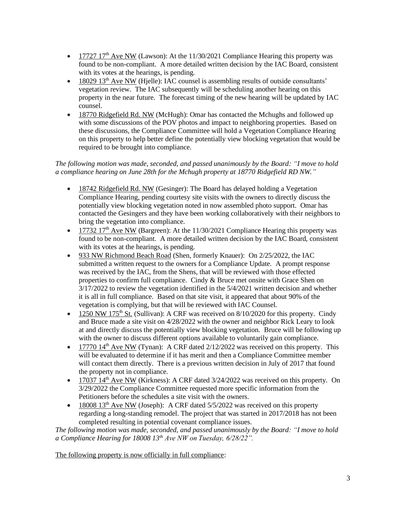- 17727 17<sup>th</sup> Ave NW (Lawson): At the 11/30/2021 Compliance Hearing this property was found to be non-compliant. A more detailed written decision by the IAC Board, consistent with its votes at the hearings, is pending.
- $\bullet$  18029 13<sup>th</sup> Ave NW (Hjelle): IAC counsel is assembling results of outside consultants' vegetation review. The IAC subsequently will be scheduling another hearing on this property in the near future. The forecast timing of the new hearing will be updated by IAC counsel.
- 18770 Ridgefield Rd. NW (McHugh): Omar has contacted the Mchughs and followed up with some discussions of the POV photos and impact to neighboring properties. Based on these discussions, the Compliance Committee will hold a Vegetation Compliance Hearing on this property to help better define the potentially view blocking vegetation that would be required to be brought into compliance.

# *The following motion was made, seconded, and passed unanimously by the Board: "I move to hold a compliance hearing on June 28th for the Mchugh property at 18770 Ridgefield RD NW."*

- 18742 Ridgefield Rd. NW (Gesinger): The Board has delayed holding a Vegetation Compliance Hearing, pending courtesy site visits with the owners to directly discuss the potentially view blocking vegetation noted in now assembled photo support. Omar has contacted the Gesingers and they have been working collaboratively with their neighbors to bring the vegetation into compliance.
- 17732 17<sup>th</sup> Ave NW (Bargreen): At the 11/30/2021 Compliance Hearing this property was found to be non-compliant. A more detailed written decision by the IAC Board, consistent with its votes at the hearings, is pending.
- 933 NW Richmond Beach Road (Shen, formerly Knauer): On 2/25/2022, the IAC submitted a written request to the owners for a Compliance Update. A prompt response was received by the IAC, from the Shens, that will be reviewed with those effected properties to confirm full compliance. Cindy & Bruce met onsite with Grace Shen on 3/17/2022 to review the vegetation identified in the 5/4/2021 written decision and whether it is all in full compliance. Based on that site visit, it appeared that about 90% of the vegetation is complying, but that will be reviewed with IAC Counsel.
- 1250 NW 175<sup>th</sup> St. (Sullivan): A CRF was received on  $8/10/2020$  for this property. Cindy and Bruce made a site visit on 4/28/2022 with the owner and neighbor Rick Leary to look at and directly discuss the potentially view blocking vegetation. Bruce will be following up with the owner to discuss different options available to voluntarily gain compliance.
- 17770  $14<sup>th</sup>$  Ave NW (Tynan): A CRF dated  $2/12/2022$  was received on this property. This will be evaluated to determine if it has merit and then a Compliance Committee member will contact them directly. There is a previous written decision in July of 2017 that found the property not in compliance.
- 17037 14<sup>th</sup> Ave NW (Kirkness): A CRF dated  $3/24/2022$  was received on this property. On 3/29/2022 the Compliance Committee requested more specific information from the Petitioners before the schedules a site visit with the owners.
- 18008 13<sup>th</sup> Ave NW (Joseph): A CRF dated  $5/5/2022$  was received on this property regarding a long-standing remodel. The project that was started in 2017/2018 has not been completed resulting in potential covenant compliance issues.

*The following motion was made, seconded, and passed unanimously by the Board: "I move to hold a Compliance Hearing for 18008 13th Ave NW on Tuesday, 6/28/22".*

The following property is now officially in full compliance: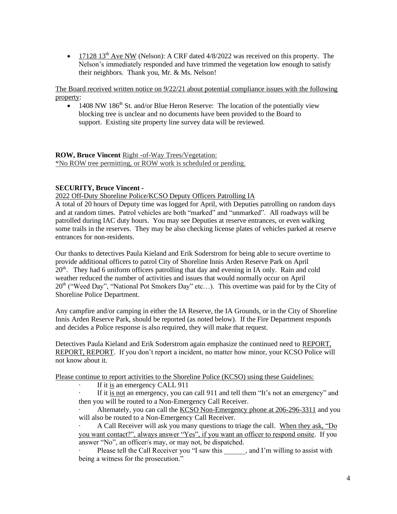• 17128 13<sup>th</sup> Ave NW (Nelson): A CRF dated  $4/8/2022$  was received on this property. The Nelson's immediately responded and have trimmed the vegetation low enough to satisfy their neighbors. Thank you, Mr. & Ms. Nelson!

The Board received written notice on 9/22/21 about potential compliance issues with the following property:

• 1408 NW 186<sup>th</sup> St. and/or Blue Heron Reserve: The location of the potentially view blocking tree is unclear and no documents have been provided to the Board to support. Existing site property line survey data will be reviewed.

**ROW, Bruce Vincent** Right -of-Way Trees/Vegetation: \*No ROW tree permitting, or ROW work is scheduled or pending.

# **SECURITY, Bruce Vincent -**

2022 Off-Duty Shoreline Police/KCSO Deputy Officers Patrolling IA

A total of 20 hours of Deputy time was logged for April, with Deputies patrolling on random days and at random times. Patrol vehicles are both "marked" and "unmarked". All roadways will be patrolled during IAC duty hours. You may see Deputies at reserve entrances, or even walking some trails in the reserves. They may be also checking license plates of vehicles parked at reserve entrances for non-residents.

Our thanks to detectives Paula Kieland and Erik Soderstrom for being able to secure overtime to provide additional officers to patrol City of Shoreline Innis Arden Reserve Park on April 20<sup>th</sup>. They had 6 uniform officers patrolling that day and evening in IA only. Rain and cold weather reduced the number of activities and issues that would normally occur on April 20<sup>th</sup> ("Weed Day", "National Pot Smokers Day" etc...). This overtime was paid for by the City of Shoreline Police Department.

Any campfire and/or camping in either the IA Reserve, the IA Grounds, or in the City of Shoreline Innis Arden Reserve Park, should be reported (as noted below). If the Fire Department responds and decides a Police response is also required, they will make that request.

Detectives Paula Kieland and Erik Soderstrom again emphasize the continued need to REPORT, REPORT, REPORT. If you don't report a incident, no matter how minor, your KCSO Police will not know about it.

Please continue to report activities to the Shoreline Police (KCSO) using these Guidelines:

· If it is an emergency CALL 911

If it is not an emergency, you can call 911 and tell them "It's not an emergency" and then you will be routed to a Non-Emergency Call Receiver.

Alternately, you can call the KCSO Non-Emergency phone at 206-296-3311 and you will also be routed to a Non-Emergency Call Receiver.

· A Call Receiver will ask you many questions to triage the call. When they ask, "Do you want contact?", always answer "Yes", if you want an officer to respond onsite. If you answer "No", an officer/s may, or may not, be dispatched.

Please tell the Call Receiver you "I saw this , and I'm willing to assist with being a witness for the prosecution."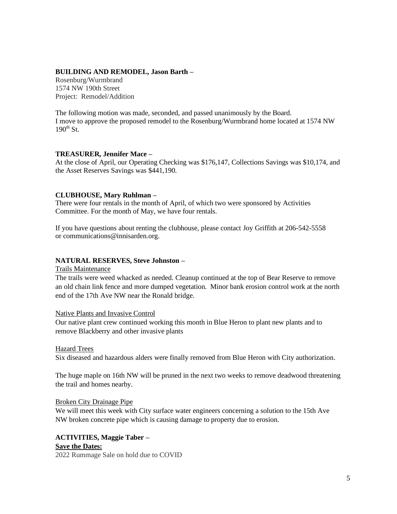# **BUILDING AND REMODEL, Jason Barth –**

Rosenburg/Wurmbrand 1574 NW 190th Street Project: Remodel/Addition

The following motion was made, seconded, and passed unanimously by the Board. I move to approve the proposed remodel to the Rosenburg/Wurmbrand home located at 1574 NW  $190^{th}$  St.

## **TREASURER, Jennifer Mace –**

At the close of April, our Operating Checking was \$176,147, Collections Savings was \$10,174, and the Asset Reserves Savings was \$441,190.

### **CLUBHOUSE, Mary Ruhlman –**

There were four rentals in the month of April, of which two were sponsored by Activities Committee. For the month of May, we have four rentals.

If you have questions about renting the clubhouse, please contact Joy Griffith at 206-542-5558 or [communications@innisarden.org.](mailto:communications@innisarden.org)

## **NATURAL RESERVES, Steve Johnston –**

### Trails Maintenance

The trails were weed whacked as needed. Cleanup continued at the top of Bear Reserve to remove an old chain link fence and more dumped vegetation. Minor bank erosion control work at the north end of the 17th Ave NW near the Ronald bridge.

### Native Plants and Invasive Control

Our native plant crew continued working this month in Blue Heron to plant new plants and to remove Blackberry and other invasive plants

### Hazard Trees

Six diseased and hazardous alders were finally removed from Blue Heron with City authorization.

The huge maple on 16th NW will be pruned in the next two weeks to remove deadwood threatening the trail and homes nearby.

### Broken City Drainage Pipe

We will meet this week with City surface water engineers concerning a solution to the 15th Ave NW broken concrete pipe which is causing damage to property due to erosion.

# **ACTIVITIES, Maggie Taber – Save the Dates:**

2022 Rummage Sale on hold due to COVID